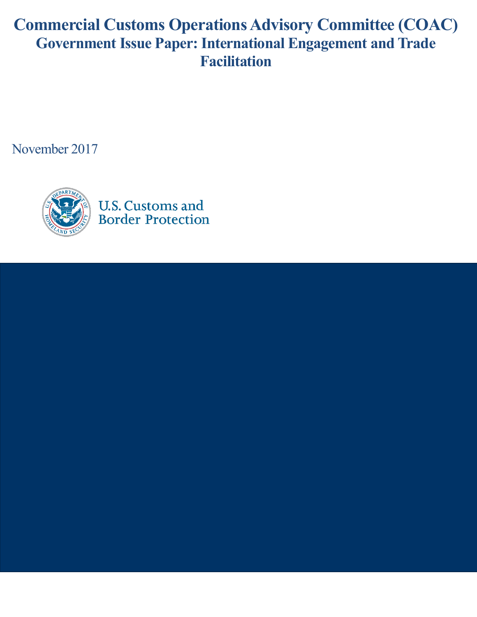# **Commercial Customs Operations Advisory Committee (COAC) Government Issue Paper: International Engagement and Trade Facilitation**

November 2017